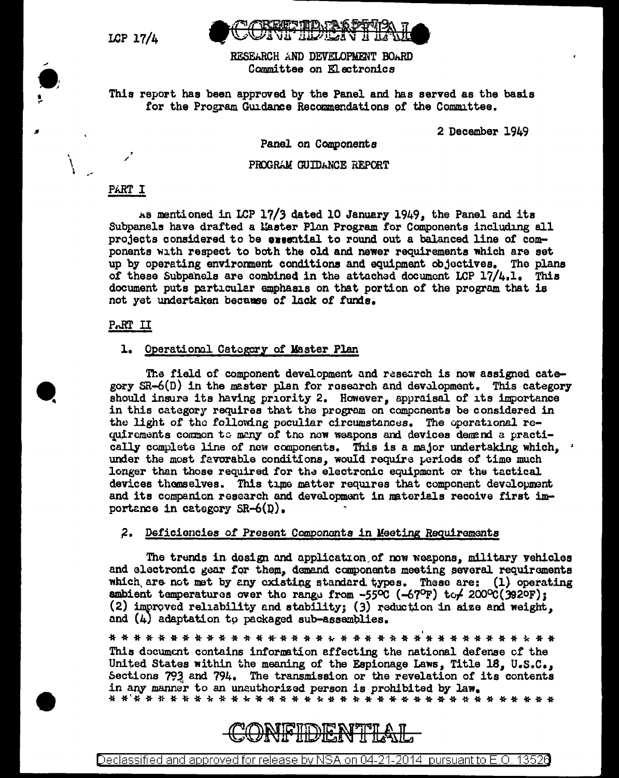LCP 17/4

 $\bullet$  .  $\bullet$  .

> \ \  $\cdot$  -

..



RESEARCH AND DEVELOPMENT BOARD Committee on Electronics

This report has been approved by the Panel and has served as the basis for the Program Guidance Recommendations of the Committee.

2 December 1949

Panel on Components

#### PROGRAM GUIDANCE REPORT

#### PART I

/ '

As mentioned in LCP 17/3 dated 10 January 1949, the Panel and its Subpanels have drafted a Master Plan Program for Components including all projects considered to be executial to round out a balanced line of components with respect to both the old and newer requirements which are set up by operating environment conditions and equipment objectives. The plans of these Subpanels are combined in the attached document LCP 17/4.1. This document puts particular emphasis on that portion of the program that is not yet undertaken because of lack of funds.

### P.RT II

#### 1. Operational Category of Master Plan

The field of component development and research is now assigned category SR-6(D) in the master plan for rosearch and development. This category should insure its having priority 2, However, appraisal of its importance in this category requires that the program on compcnents be considered in the light of the following peculiar circumstances. The operational requirements common to many of the now weapons and devices demand a practically complete line of new components. This is a major undertaking which, under the most favorable conditions, would require periods of time much longer than those required for the electronic equipment or the tactical devices themselves. This time matter requires that component development and its companion research and development in materials receive first importance in category  $SR-6(D)$ .

#### ;2. Deficioncies *of* Present Ccmpononts in Meeting Requirements

The trends in design and application of now weepons, military vehicles and electronic gear for them, demand components meeting several requirements which are not met by any cxisting standard types. These are: (1) operating ambient temperatures over the range from  $-55^{\circ}C$  ( $-67^{\circ}F$ ) to $/200^{\circ}C(392^{\circ}F)$ ; (2) improved reliability and stability; (3) reduction in size and weight, and  $(4)$  adaptation to packaged sub-assemblies.

\* \* \* \* \* \* \* \* \* \* \* \* \* \*" \* \* \* \* -k \* \* \* \* \* \* \*' \* \* \* \* \* \* \* \* ic \* \* This document contains information affecting the national defense cf the United States within the meaning of the Espionage Laws, Title 18, U.S.C., Sections 793 and 794. The transmission or the revelation of its contents in any manner to an unauthorized person is prohibited by law. \* \*'\* \* i~ \* \* \* ic \* \* w \* \* \* \* \* i.- \* \* \* \* \* \* \* \* \* \* \* \* \* \* \* \* \* \* \*



Declassified and approved for release by NSA on 04-21-2014 pursuant to E.O. 1352a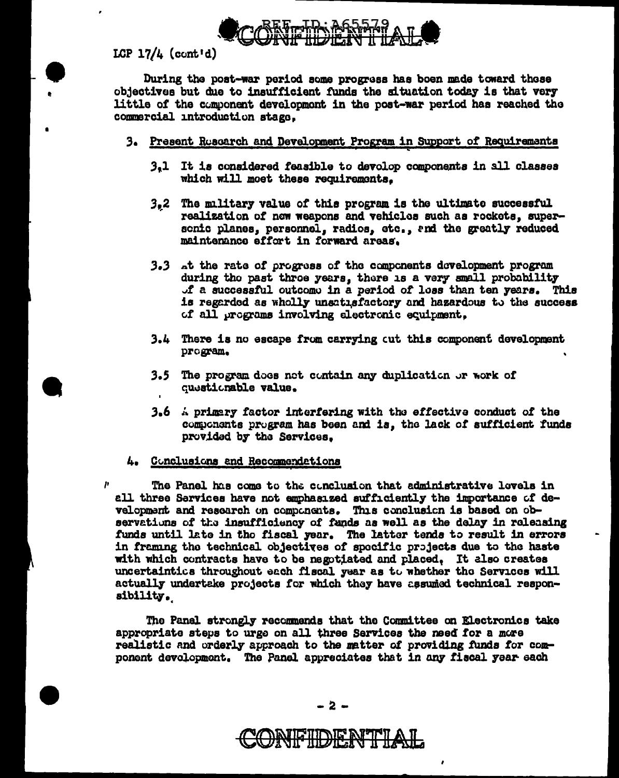

LCP  $17/4$  (cont'd)

During the post-war period some progress has boen made toward these objectives but due to insufficient funds the situation today is that very little of the component development in the post-war period has reached the commercial introduction stage.

- 3. Present Ruscarch and Development Program in Support of Requirements
	- $3<sub>a</sub>$ 1 It is considered feasible to devolop components in all classes which will moet these requirements.
	- $3,2$ The military value of this program is the ultimate successful realization of now weapons and vehicles such as rockets, supersenic planes, personnel, radios, etc., and the greatly reduced maintenance effort in forward areas.
	- 3.3 at the rate of progress of the components development program during tho past throe years, there is a very small probability of a successful outcome in a period of loss than ten years. This is regarded as wholly unsatisfactory and hazardous to the success of all programs involving electronic equipment.
	- 3.4 There is no escape from carrying out this component development program.
	- 3.5 The program does not contain any duplication or work of questionable value.
	- 3.6  $\land$  primery factor interfering with the effective conduct of the components program has been and is, the lack of sufficient funds provided by the Services.

# 4. Conclusions and Recommendations

The Panel has come to the conclusion that administrative lovels in all three Services have not emphasized sufficiently the importance of development and research on components. This conclusion is based on observations of the insufficiency of funds as well as the delay in releasing funds until late in the fiscal year. The latter tends to result in errors in framing the technical objectives of specific projects due to the haste with which contracts have to be negotiated and placed. It also creates uncertaintics throughout each fiscal year as to whether the Services will actually undertake projects for which they have assumed technical responsibility.

The Panel strongly recommends that the Committee on Electronics take appropriate steps to urge on all three Services the need for a more realistic and orderly approach to the matter of providing funds for component development. The Panel appreciates that in any fiscal year each

IF HDE N'ILLAN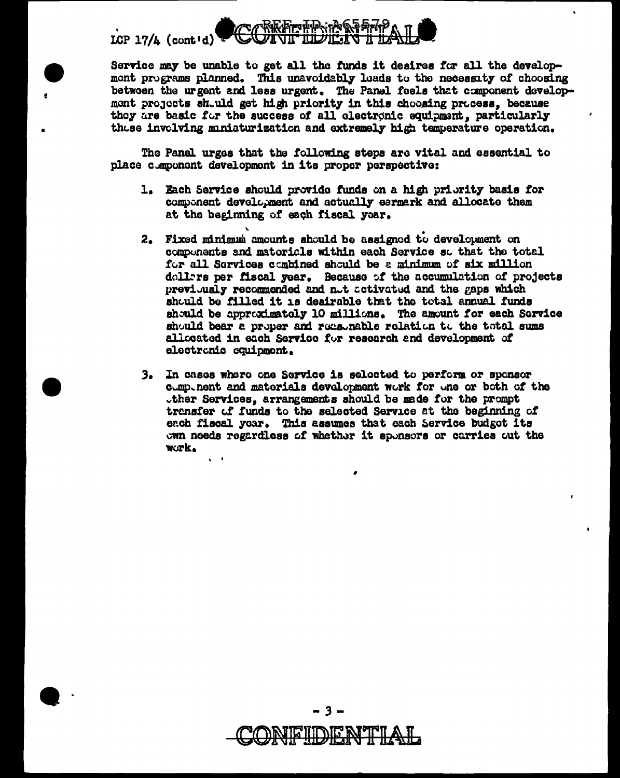# LCP  $17/L$  (cont'd)

Service may be unable to get all the funds it desires for all the development programs planned. This unavoidably leads to the necessity of choosing betwoen the urgent and less urgent. The Panel feels that component developmont projects should get high priority in this choosing process, because they are basic for the success of all electronic equipment, particularly these invelving miniaturization and extremely high temperature operation.

The Panel urges that the following steps are vital and essential to place component development in its proper perspective:

- 1. Each Service should provide funds on a high priority basis for component development and actually earmerk and allocate them at the beginning of each fiscal year.
- 2. Fixed minimum amounts should be assigned to development on components and matorials within each Service so that the total for all Services combined should be a minimum of six million dollars per fiscal year. Because of the accumulation of projects previously recommended and not activated and the gaps which should be filled it is desirable that the total annual funds should be approximately 10 millions. The amount for each Service should bear a proper and reasonable relation to the total sums allocated in each Service for research and development of electronic equipment.
- 3. In cases where one Service is selected to perform or sponsor component and materials development work for one or both of the ther Services, arrangements should be made for the prompt transfer of funds to the selected Service at the beginning of each fiscal year. This assumes that each Service budget its own needs regardless of whether it sponsors or carries out the work.



3 –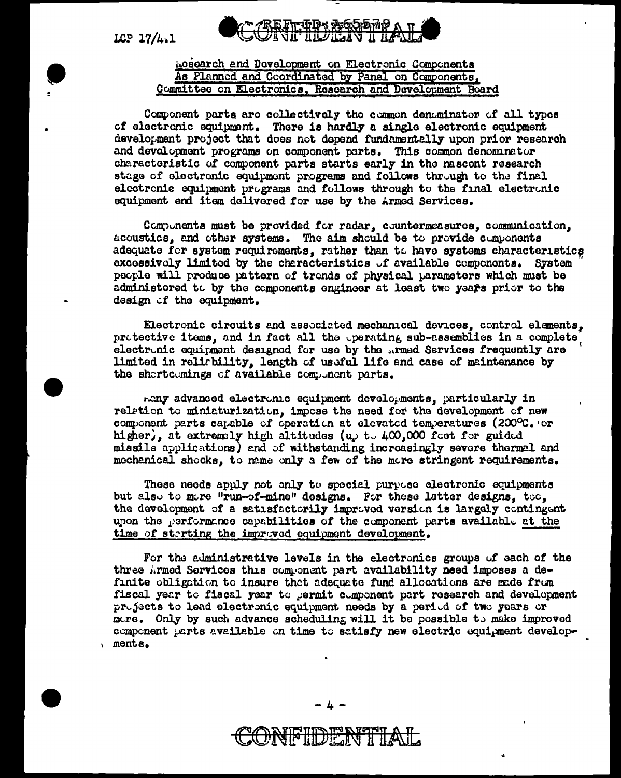LCP  $17/4.1$ 

# <u>ኩ ቁቡላ የአፍሪካ አለው</u> ПРЕДА П ТА

# **Acsourch and Development on Electronic Components** As Planned and Coordinated by Panel on Components, Committee on Electronics, Research and Development Board

Component parts are collectively the common denominator of all types of electronic equipment. There is hardly a single electronic equipment development project that does not depend fundamentally upon prior research and devalopment programs on component parts. This common denominator characteristic of component parts starts early in the nascent research stage of electronic equipment programs and follows through to the final electronic equipment programs and follows through to the final electronic equipment end item delivered for use by the Armed Services.

Components must be provided for radar, countermeasures, communication, acoustics, and other systems. The aim should be to provide components adequate for system requirements, rather than to have systems characteristics excessively limited by the characteristics of available components. System people will produce pattern of tronds of physical parameters which must be administered to by the components engineer at least two years prior to the design of the equipment.

Electronic circuits and associated mechanical devices, control elements, protective items, and in fact all the operating sub-assemblies in a complete, electronic equipment designed for use by the ..rmed Services frequently are limited in reliability, length of usuful life and case of maintenance by the shortcomings of available component parts.

many advanced electronic equipment developments, particularly in relation to miniaturization, impose the need for the development of new component parts capable of operation at elevated temperatures (200°C. or higher, at extremely high altitudes (u<sub>r</sub> t.  $400,000$  foot for guided missile applications) and of withstanding increasingly severe thermal and mechanical shocks, to mame only a few of the more stringent requirements.

These needs apply not only to special purpose electronic equipments but also to more "run-of-mine" designs. For these latter designs, too, the development of a satisfactorily improved version is largely contingent upon the performance capabilities of the component parts available at the time of starting the improved equipment development.

For the administrative levels in the electronics groups of each of the three Armed Services this component part availability need imposes a definite obligation to insure that adequate fund allocations are made from fiscal year to fiscal year to permit component part research and development projects to lead electronic equipment needs by a period of two years or more. Only by such advance scheduling will it be possible to make improved component parts available on time to satisfy new electric equipment developments.

**All HILDIE INT**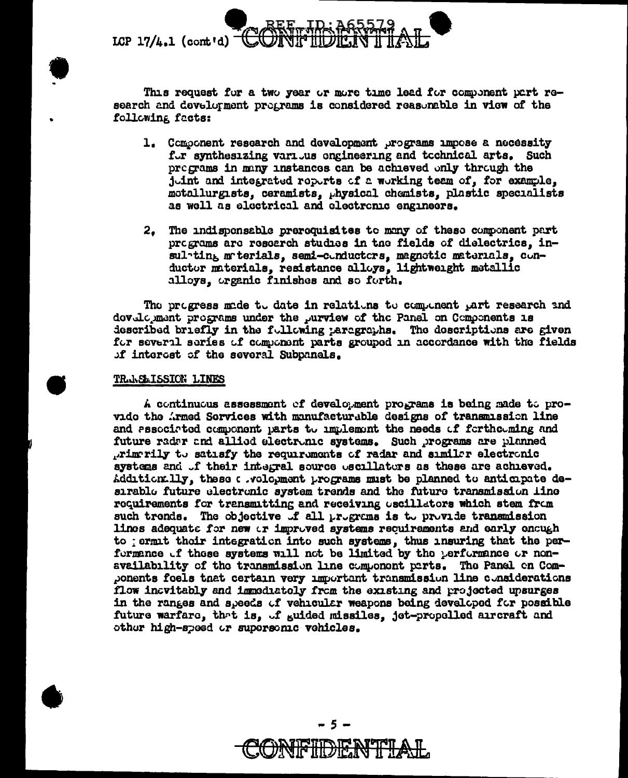

This request for a two year or more time lead for component part research and development programs is considered reasonable in view of the following facts:

- 1. Component research and development programs impose a necessity for synthesizing various engineering and tochnical arts. Such pregrams in many instances can be achieved only through the juint and integrated repurts of a working team of, for example. motallurgists, ceramists, physical chemists, plastic specialists as well as electrical and electronic engineers.
- 2. The indispensable prerequisites to many of these component part programs are research studies in the fields of dielectrics, insulpting materials, semi-conductors, magnetic materials, conductor materials, resistance alloys, lightweight metallic alloys, organic finishes and so forth.

The progress made to date in relations to component part research and dovelogment programs under the purview of the Panel on Components is described briefly in the fullowing paragraphs. The descriptions are given for several series of component parts grouped in accordance with the fields of interest of the several Subpanels.

#### TRANSMISSION LINES

A continuous assessment of development programs is being made to provide the Armed Services with manufacturable designs of transmission line and associated component parts to implement the needs of forthooming and future radar and allied electronic systems. Such programs are planned primerily to satisfy the requirements of radar and similer electronic systems and of their integral source oscillators as these are achieved. Addition. 11y, these a .vologment programs must be planned to anticipate desirable future electronic system trends and the future transmission line requirements for transmitting and receiving uscillators which stem from such tronds. The objective of all programs is to provide transmission lines adequate for new or improved systems requirements and early oncugh to jermit their integration into such systems, thus insuring that the performance of these systems will not be limited by the performance or nonavailability of the transmission line component parts. The Panel on Components foels that certain very important transmission line considerations flow incvitably and immoduately from the existing and projected upsurges in the ranges and speeds of vehicular weapons being developed for possible future warfare, that is, of guided missiles, jet-propelled aircraft and other high-speed or supersonic vehicles.

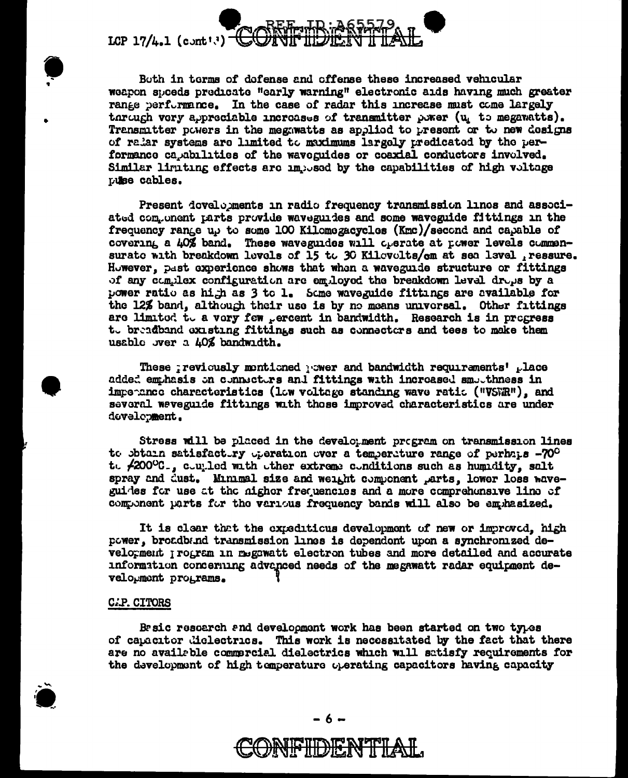LCP  $17/4.1$  (cont<sup>13)</sup>

Both in terms of defense and offense these increased vehicular weapon speeds predicate "early warning" electronic aids having much greater range performance. In the case of radar this increase must come largely through very appreciable increases of transmitter power  $(u_i$  to megavatts). Transmitter powers in the megnwatts as applied to present or to new designs of radar systems are limited to maximums largely predicated by the performance capabilities of the waveguides or coaxial conductors involved. Similar limiting effects are imposed by the capabilities of high voltage **Luke** cables.

Present dovelopments in radio frequency transmission linos and associated component parts provide waveguides and some waveguide fittings in the frequency range up to some 100 Kilomegacycles (Kmc)/second and capable of covering a 40% band. These waveguides will operate at power levels commensurate with breakdown levels of 15 to 30 Kilevelts/cm at sea level ressure. However, past experience shows that when a waveguide structure or fittings of any complex configuration are employed the breakdown level drops by a power ratio as high as 3 to 1. Some waveguide fittings are available for the 12% band, although their use is by no means universal. Other fittings are limited to a very few percent in bandwidth. Research is in progress to breadband existing fittings such as connectors and tees to make them usable wer a 40% bandwidth.

These reviously montioned waver and bandwidth requirements' place added emphasis on connectors and fittings with increased smoothness in imperance characteristics (Low voltage standing wave ratio ("VSWR"), and several waveguide fittings with those improved characteristics are under dovelopment.

Stress will be placed in the development program on transmission lines to obtain satisfactivy operation over a temperature range of perhaps -70° t. 42000C., coupled with other extreme conditions such as humidity, salt spray and dust. Minimal size and weight component parts. lower loss waveguides for use at the nigher frequencies and a more comprehensive line of component parts for the various frequency bands will also be emphasized.

It is clear that the expeditious development of new or improved, high power, broadband transmission lines is dependent upon a synchronized development program in megawatt electron tubes and more detailed and accurate information concerning advanced needs of the megawatt radar equipment development programs.

#### **C.P. CITORS**

Besic rescarch and development work has been started on two types of capacitor dielectrics. This work is necessitated by the fact that there are no available commercial dielectrics which will satisfy requirements for the development of high temperature operating capacitors having capacity

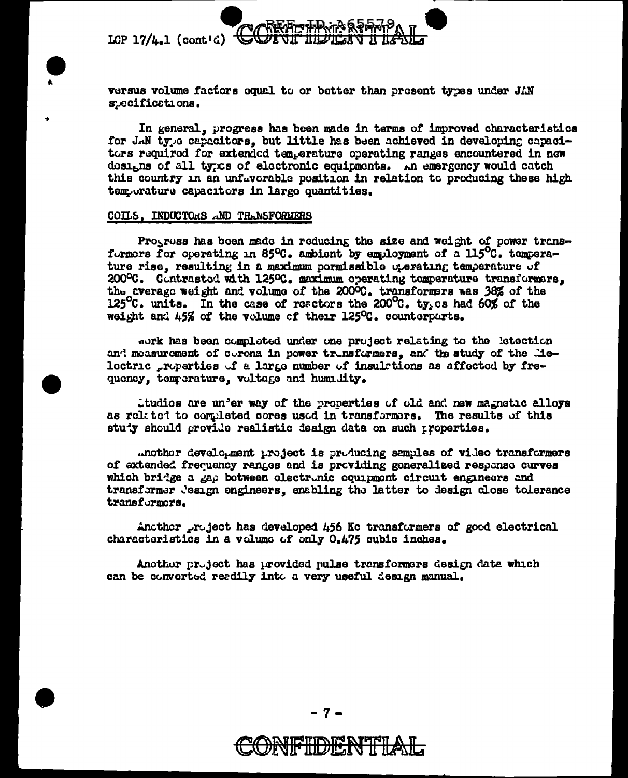LCP  $17/L.1$  (cont'd)



In general, progress has been made in terms of improved characteristics for JAN type capacitors, but little has been achieved in developing capacitors required for extended temperature operating ranges encountered in new dosigns of all types of electronic equipments. An emergency would catch this country in an unfavorable position in relation to producing these high temporature capacitors in large quantities.

#### COILS. INDUCTORS AND TRANSFORMERS

Progress has been made in reducing the size and weight of power transformors for operating in 85 $^{\circ}$ C. ambient by emuloyment of a 115 $^{\circ}$ C. temperature rise, resulting in a maximum pormissible operating temperature of 200°C. Contrasted with 125°C. maximum operating temperature transformers. the average weight and volume of the 2000C. transformers was 38% of the 125°C. units. In the case of reactors the 200°C. ty<sub>s</sub>es had 60% of the weight and 45% of the volume of their 125°C. counterparts.

mork has been completed under one project relating to the letection and measurement of corona in power transformers, and the study of the lielectric properties of a large number of insulmtions as affected by frequency, temperature, voltage and humility.

ttudios are un'er way of the properties of old and new magnetic alloys as rolited to completed cores used in transformors. The results of this stuty should grovide realistic design data on such properties.

.nother development project is producing samples of video transformers of extended frequency ranges and is providing generalized response curves which bridge a gap between electronic ocumpont circuit engineers and transformer Jesign engineers, enabling the latter to design close tolerance transformors.

Another project has developed 456 Kc transformers of good electrical characteristics in a volume of only 0.475 cubic inches.

Another project has provided pulse transformers design data which can be converted readily into a very useful design manual.

- 7 -

# 1<del>6'INO) IS R</del>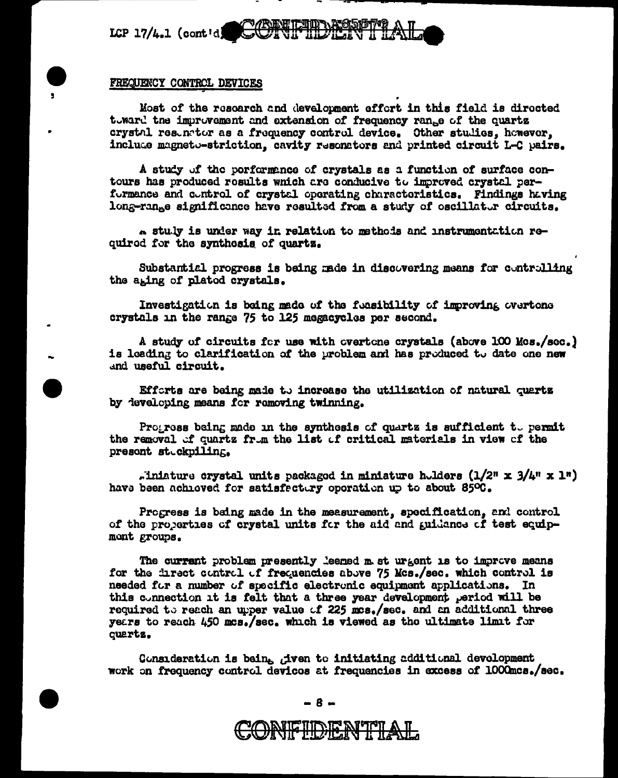

#### FREQUENCY CONTROL DEVICES

Most of the research and development effort in this field is directed toward the improvement and extension of frequency range of the quartz crystal resumetor as a frequency control device. Other studies, however, include magneto-striction, cavity resonators and printed circuit L-C pairs.

A study of the porformance of crystals as a function of surface contours has produced results which are conducive to improved crystal performance and control of crystal operating characteristics. Findings having long-range significance have resulted from a study of oscillator circuits.

a stuly is under way in relation to methods and instrumentation required for the synthesis of quartz.

Substantial progress is being made in discovering means for controlling the aging of plated crystals.

Investigation is being made of the foasibility of improving overtone crystals in the range 75 to 125 megacycles per second.

A study of circuits for use with overtone crystals (above 100 Mos./sec.) is leading to clarification of the problem and has produced to date one new and useful circuit.

Efforts are being made to increase the utilization of natural quartz by developing means for removing twinning.

Progress being made in the synthesis of quartz is sufficient to permit the removal of quartz from the list of critical materials in view of the present stuckpiling.

. inlature crystal units packaged in miniature holders  $(1/2^n \times 3/4^n \times 1^n)$ have been achieved for satisfectury operation up to about 850C.

Progress is being made in the measurement, specification, and control of the properties of crystal units for the aid and guidance of test equipmont groups.

The currant problem presently leemed m st urgent is to improve means for the inrect control of frequencies above 75 Mcs./sec. which control is needed for a number of specific electronic equipment applications. In this connection it is felt that a three year development period will be required to reach an upper value of 225 mcs./sec. and an additional three years to reach 450 mcs./sec. which is viewed as the ultimate limit for quartz.

Consideration is being given to initiating additional development work on frequency control devices at frequencies in excess of 1000mcs./sec.

-8-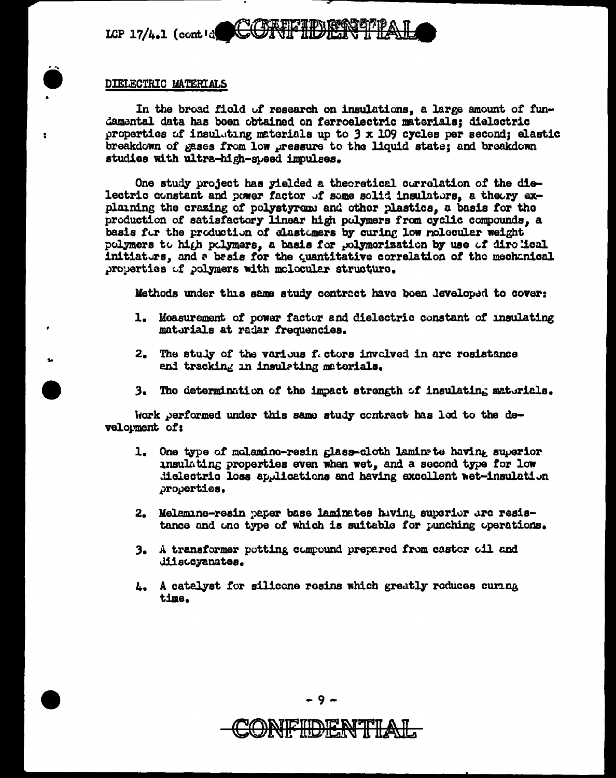CORTFIDERTPAL LCP  $17/4.1$  (contid

#### DIELECTRIC MATERIALS

In the broad field of research on insulations, a large amount of fundamental data has boen obtained on ferroelectric materials: dielectric properties of insulating materials up to 3 x 109 cycles per second; elastic breakdown of gases from low pressure to the liquid state; and breakdown studies with ultra-high-speed impulses.

One study project has yielded a theoretical correlation of the dielectric constant and power factor of some solid insulators, a theory explaining the crazing of polystyrem and other plastics, a basis for the production of satisfactory linear high polymers from cyclic compounds, a basis for the production of clastomers by curing low relecular weight polymers to high polymers, a basis for polymorization by use of direlical initiaturs, and a basis for the quantitative correlation of the mechanical properties of polymers with molocular structure.

Methods under this same study contract have been leveloped to cover:

- 1. Moasurement of power factor and dielectric constant of insulating materials at radar frequencies.
- 2. The stuly of the various fectors involved in arc resistance and tracking in insulating materials.
- 3. The determination of the impact strength of insulating materials.

Work performed under this same study contract has led to the development of:

- 1. One type of molamino-resin glass-cloth laming te having superior insulating properties even when wet, and a second type for low dielectric loss applications and having excellent wet-insulation properties.
- 2. Melamine-resin paper base laminates hiving superior are resistance and one type of which is suitable for punching operations.
- 3. A transformer potting compound prepared from castor cil and diiscovanates.
- 4. A catalyst for silicone resins which greatly reduces curing time.

9.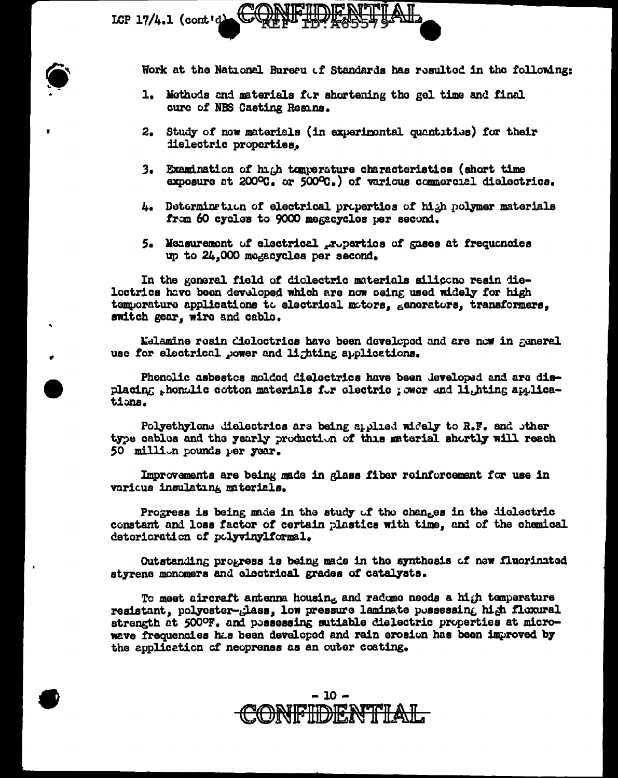LCP  $17/4.1$  (cont'd)

Work at the National Bureau of Standards has resulted in the following:

- 1. Mothods and materials for shortening the gel time and final cure of NBS Casting Resins.
- 2. Study of now materials (in experimental quantities) for their dielectric properties.
- 3. Examination of high tomperature characteristics (short time exposure at 200°C, or 500°C.) of various commercial dielectrics.
- 4. Determination of electrical properties of high polymer materials from 60 cycles to 9000 megacycles per second.
- 5. Measurement of electrical properties of gases at frequencies up to 24.000 megacycles per second.

In the general field of diolectric materials silicone resin dieloctrics have been developed which are now peing used widely for high temporature applications to electrical motors, generators, transformers. switch gear, wire and cable.

Melamine rosin dioloctrics have been developed and are now in general use for electrical power and lighting applications.

Phonolic asbestes molded dielectrics have been developed and are displacing thenolic cotton materials for electric ; ower and lighting applications.

Polyethylone dielectrics are being applied widely to R.F. and other type cables and the yearly production of this material shortly will reach 50 million pounds per year.

Improvements are being made in glass fiber reinforcement for use in various insulating materials.

Progress is being made in the study of the changes in the diclectric constant and loss factor of certain plastics with time. and of the chemical deterioration of polyvinylformal.

Outstanding progress is being made in the synthesis of new fluorinated styrene monomers and electrical grades of catalysts.

To meet aircraft antenna housing and radome needs a high temperature resistant, polycster-glass, low pressure laminate possessing high flexural strength at 500°F. and pessessing sutiable dielectric properties at microwave frequencies has been developed and rain erosion has been improved by the application of neoprenes as an outer coating.

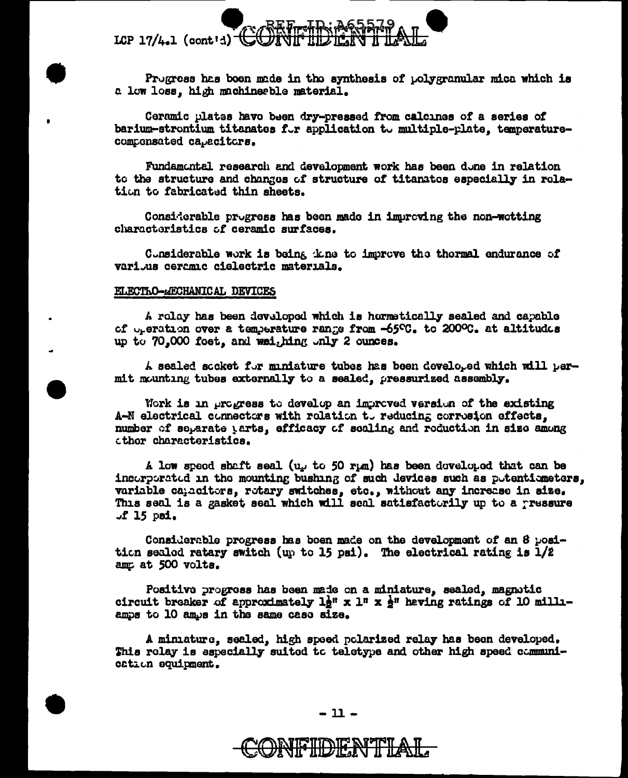

Progress has been made in the synthesis of polygranular mica which is a low loss, high machinerble material.

Ceramic plates have been dry-pressed from calcines of a series of barium-strontium titanates for application to multiple-plate, temperaturecomponsated capacitors.

Fundamental research and development work has been done in relation to the structure and changes of structure of titanates especially in rolation to fabricated thin sheets.

Considerable progress has been made in improving the non-wetting charactoristics of ceramic surfaces.

Considerable work is being the sto improve the thermal endurance of varijus ceramic cielectric materials.

#### ELECTRO-AECHANICAL DEVICES

A rolay has been developed which is hormatically sealed and capable of operation over a temperature range from -65°C. to 200°C. at altitudes up to 70,000 foet, and weighing only 2 cunces.

A sealed socket for miniature tubes has been developed which will permit mounting tubes externally to a sealed, pressurized assembly.

Work is in progress to develop an improved version of the existing A-N electrical connectors with relation to reducing corrosion effects. number of separate tarts, efficacy of scaling and reduction in size among cthor characteristics.

A low speed shaft seal (u<sub>r</sub> to 50 rpm) has been doveloped that can be incorporated in the mounting bushing of such devices such as potentiometers, variable cancitors, rotary switches, etc., without any increase in size. This seal is a gasket seal which will seal satisfactorily up to a ressure  $J$  15 psi.

Considerable progress has been made on the development of an 8 position sealed ratary switch (up to 15 psi). The electrical rating is  $1/2$ amp at 500 volts.

Positive progress has been made on a miniature, sealed, magnetic circuit breaker of approximately  $1\frac{1}{2}$ " x 1" x  $\frac{1}{2}$ " heving ratings of 10 milliamps to 10 amps in the same case size.

A miniature, sealed, high speed polarized relay has been developed. This relay is aspecially suited to teletype and other high speed communication equipment.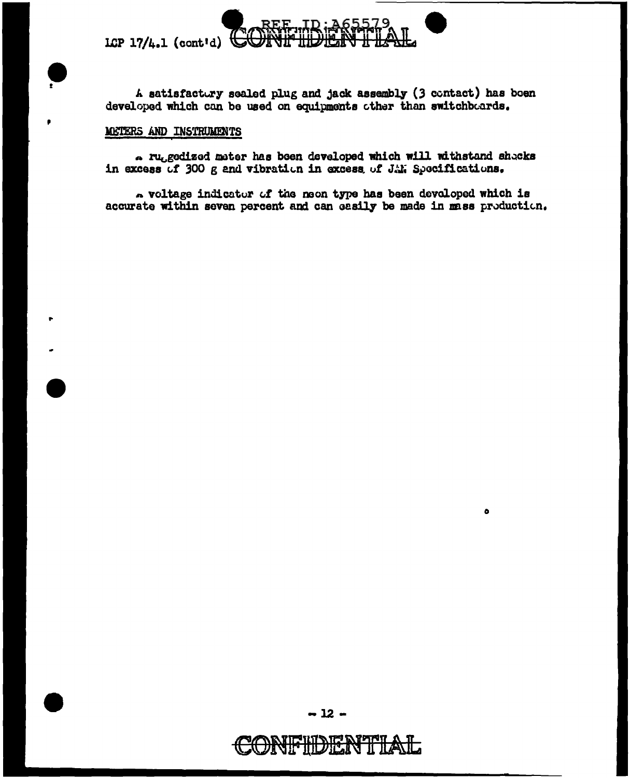LCP  $17/4.1$  (cont'd)



Nta

 $\bullet$ 

# METERS AND INSTRUMENTS

. ruggedized meter has been developed which will withstand shecks in excess of 300 g and vibration in excess of JAN Specifications.

. voltage indicator of the neon type has been devoloped which is accurate within seven percent and can easily be made in mass production.

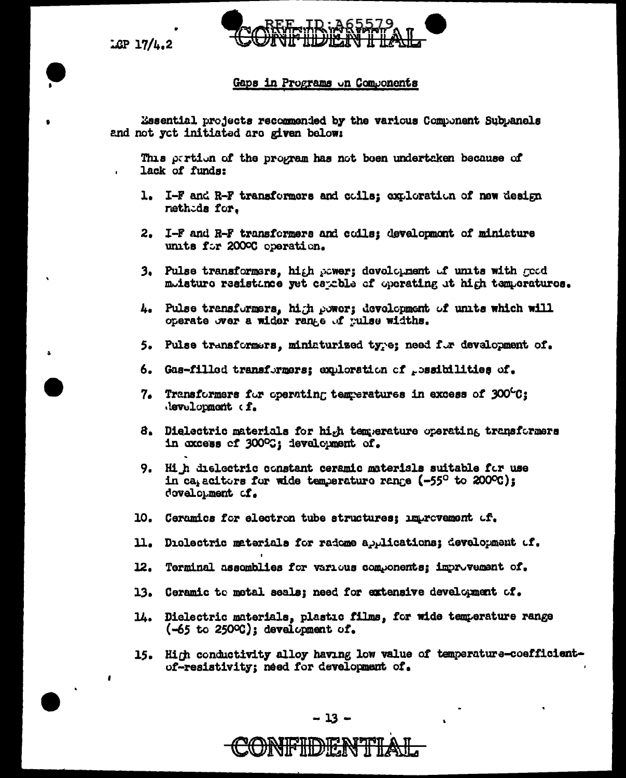$LCP$  17/4.2

 $\mathbf{f}$ 



# Gaps in Programs on Components

Essential projects recommended by the various Component Subpanels and not yet initiated are given below:

This partion of the program has not been undertaken because of lack of funds:

- 1. I-F and R-F transformers and coils: exploration of new design nethids for.
- 2. I-F and R-F transformers and coils: development of ministure units for 2000C operation.
- 3. Pulse transformers, high power; development of units with good muisture resistance yet cauchle of operating at high temperatures.
- 4. Pulse transformers, high power; development of units which will operate over a wider range of pulse widths.
- 5. Pulse transformars, miniaturized type; need for development of.
- 6. Gas-filled transformers; exploration of possibilities of.
- 7. Transformers for operating temperatures in excess of  $300^{\circ}$ C; development of.
- 8. Dielectric materials for high temperature operating transformers in excess of 300°C; development of.
- 9. Hi h dielectric constant ceramic materials suitable for use in ca, acitors for wide temperature range (-55° to 200°C); dovelopment of.
- 10. Ceramics for electron tube structures; improvement of.
- 11. Diclectric meterials for radome applications; development of.
- 12. Terminal assemblies for various components; improvement of.
- 13. Ceramic to metal seals; need for extensive development of.
- 14. Dielectric materials, plastic films, for wide temperature range  $(-65$  to 2500 $)$ ; development of.
- 15. High conductivity alloy having low value of temperature-coefficientof-resistivity; need for development of.

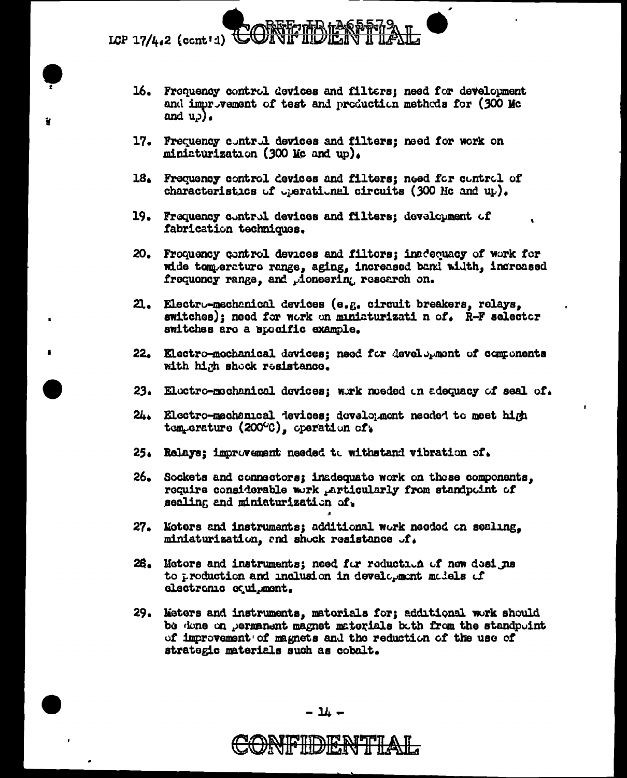LCP 17/4.2 (ccnt'd)  $#$ 

- 16. Frequency control devices and filters; need for development and improvement of test and production methods for (300 Mc) and  $u_{\theta}$ ).
- 17. Frequency control devices and filters; need for work on miniaturization (300 Mc and up).
- 18. Frequency control devices and filters; need for control of characteristics of operational circuits (300 Mc and up).
- 19. Frequency control devices and filters; development of fabrication techniques.
- 20. Froquency control devices and filtors; inadequacy of work for wide temperature range, aging, increased band width, increased frequency range, and doneering research on.
- 21. Electro-mechanical devices (e.g. circuit breakers, relays, switches); need for work on maniaturizati n of. R-F selector switches are a specific example.
- 22. Electro-mochanical devices; need for development of components with high shock resistance.
- 23. Electro-mechanical devices; wirk needed on adequacy of seal of.
- 24. Electro-mechanical devices; development needed to meet high tem-erature (200°C), operation of.
- 25. Relays; improvement needed to withstand vibration of.
- 26. Sockets and connectors; inadequate work on those components. require considerable work Articularly from standpoint of sealing and miniaturization of.
- 27. Moters and instruments; additional work needed on sealing. miniaturization, and shock resistance of.
- 26. Motors and instruments; need for reduction of new designs to production and inclusion in development models of electronic equipment.
- 29. Meters and instruments, materials for; additional work should be done on permanent magnet materials bath from the standpoint of improvement of magnets and the reduction of the use of strategic materials such as cobalt.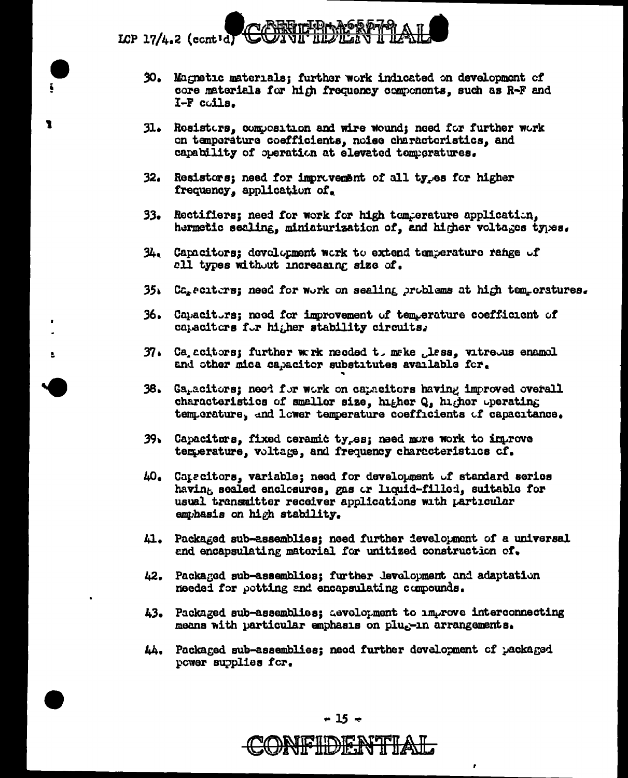

 $\overline{\mathbf{z}}$ 

- 30. Magnetic materials; further work indicated on development of core materials for high frequency components, such as R-F and I-F coils.
- $31.$ Resisters, composition and wire wound; need for further work on temperature coefficients, noise characteristics, and capability of operation at elevated temperatures.
- 32. Resistors; need for improvement of all ty<sub>r</sub>es for higher frequency, application of.
- 33. Rectifiers; need for work for high temperature application. hermetic secling, miniaturization of, and higher voltages types.
- $34.$  Capacitors; development work to extend temperature range of all types without increasing size of.
- 35. Careciters; need for work on sealing problems at high temperatures.
- 36. Capacitors; need for improvement of temperature coefficient of catacitors for higher stability circuits.
- 37. Ca acitors; further wark needed to make less, vitreous enamel and other mica capacitor substitutes available for.
- Ga<sub>r</sub>acitors; need for work on capacitors having improved overall 38. characteristics of smaller size, higher Q, higher operating temperature, and lower temperature coefficients of capacitance.
- 39. Capacitors, fixed ceramic ty<sub>r</sub>es; need more work to improve temperature, voltage, and frequency characteristics of.
- 40. Carscitors, variable; need for development of standard series having sealed enclosures, gas or liquid-filled, suitable for usual transmitter receiver applications with particular emphasis on high stability.
- 41. Packaged sub-assemblies; need further development of a universal and encapsulating material for unitized construction of.
- 42. Packaged sub-assemblies; further levelopment and adaptation needed for potting and encapsulating compounds.
- 43. Packaged sub-assemblies; aevolopment to improve interconnecting means with particular emphasis on pluggin arrangements.
- 44. Packaged sub-assemblies; need further development of packaged power supplies for.